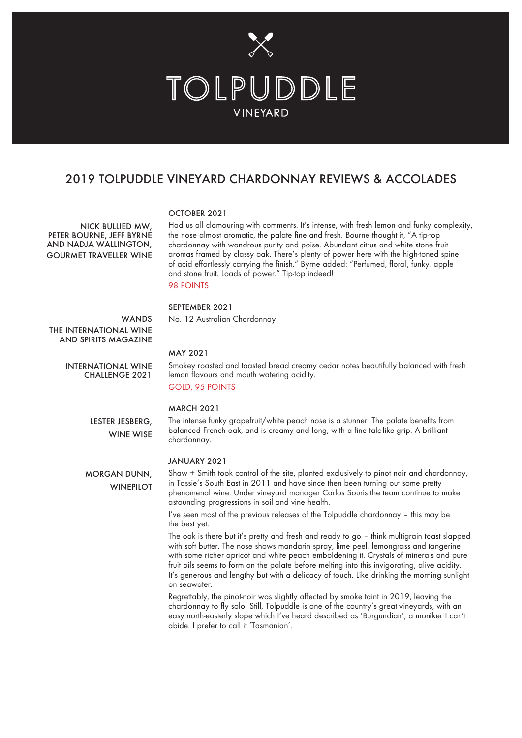

## 2019 TOLPUDDLE VINEYARD CHARDONNAY REVIEWS & ACCOLADES

#### OCTOBER 2021

NICK BULLIED MW, PETER BOURNE, JEFF BYRNE AND NADJA WALLINGTON, GOURMET TRAVELLER WINE Had us all clamouring with comments. It's intense, with fresh lemon and funky complexity, the nose almost aromatic, the palate fine and fresh. Bourne thought it, "A tip-top chardonnay with wondrous purity and poise. Abundant citrus and white stone fruit aromas framed by classy oak. There's plenty of power here with the high-toned spine of acid effortlessly carrying the finish." Byrne added: "Perfumed, floral, funky, apple and stone fruit. Loads of power." Tip-top indeed!

## 98 POINTS

MAY 2021

#### SEPTEMBER 2021

No. 12 Australian Chardonnay

**WANDS** THE INTERNATIONAL WINE AND SPIRITS MAGAZINE

> INTERNATIONAL WINE CHALLENGE 2021

Smokey roasted and toasted bread creamy cedar notes beautifully balanced with fresh lemon flavours and mouth watering acidity. GOLD, 95 POINTS

#### MARCH 2021

chardonnay.

LESTER JESBERG, WINE WISE

JANUARY 2021

Shaw + Smith took control of the site, planted exclusively to pinot noir and chardonnay, in Tassie's South East in 2011 and have since then been turning out some pretty phenomenal wine. Under vineyard manager Carlos Souris the team continue to make astounding progressions in soil and vine health. **WINEPILOT** 

The intense funky grapefruit/white peach nose is a stunner. The palate benefits from balanced French oak, and is creamy and long, with a fine talc-like grip. A brilliant

I've seen most of the previous releases of the Tolpuddle chardonnay – this may be the best yet.

The oak is there but it's pretty and fresh and ready to go – think multigrain toast slapped with soft butter. The nose shows mandarin spray, lime peel, lemongrass and tangerine with some richer apricot and white peach emboldening it. Crystals of minerals and pure fruit oils seems to form on the palate before melting into this invigorating, alive acidity. It's generous and lengthy but with a delicacy of touch. Like drinking the morning sunlight on seawater.

Regrettably, the pinot-noir was slightly affected by smoke taint in 2019, leaving the chardonnay to fly solo. Still, Tolpuddle is one of the country's great vineyards, with an easy north-easterly slope which I've heard described as 'Burgundian', a moniker I can't abide. I prefer to call it 'Tasmanian'.

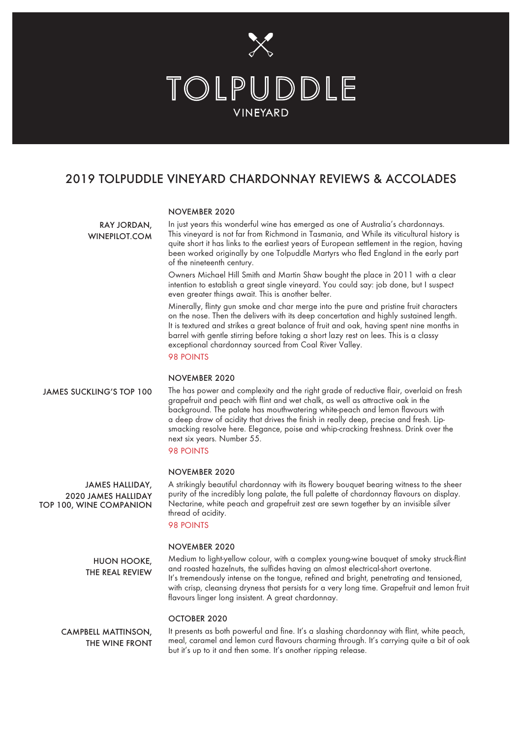

## 2019 TOLPUDDLE VINEYARD CHARDONNAY REVIEWS & ACCOLADES

#### NOVEMBER 2020

RAY JORDAN, WINEPILOT.COM In just years this wonderful wine has emerged as one of Australia's chardonnays. This vineyard is not far from Richmond in Tasmania, and While its viticultural history is quite short it has links to the earliest years of European settlement in the region, having been worked originally by one Tolpuddle Martyrs who fled England in the early part of the nineteenth century.

Owners Michael Hill Smith and Martin Shaw bought the place in 2011 with a clear intention to establish a great single vineyard. You could say: job done, but I suspect even greater things await. This is another belter.

Minerally, flinty gun smoke and char merge into the pure and pristine fruit characters on the nose. Then the delivers with its deep concertation and highly sustained length. It is textured and strikes a great balance of fruit and oak, having spent nine months in barrel with gentle stirring before taking a short lazy rest on lees. This is a classy exceptional chardonnay sourced from Coal River Valley.

98 POINTS

## NOVEMBER 2020

The has power and complexity and the right grade of reductive flair, overlaid on fresh grapefruit and peach with flint and wet chalk, as well as attractive oak in the background. The palate has mouthwatering white-peach and lemon flavours with a deep draw of acidity that drives the finish in really deep, precise and fresh. Lipsmacking resolve here. Elegance, poise and whip-cracking freshness. Drink over the next six years. Number 55. JAMES SUCKLING'S TOP 100

## 98 POINTS

#### NOVEMBER 2020

JAMES HALLIDAY, 2020 JAMES HALLIDAY TOP 100, WINE COMPANION A strikingly beautiful chardonnay with its flowery bouquet bearing witness to the sheer purity of the incredibly long palate, the full palette of chardonnay flavours on display. Nectarine, white peach and grapefruit zest are sewn together by an invisible silver thread of acidity.

## 98 POINTS

#### NOVEMBER 2020

Medium to light-yellow colour, with a complex young-wine bouquet of smoky struck-flint and roasted hazelnuts, the sulfides having an almost electrical-short overtone. It's tremendously intense on the tongue, refined and bright, penetrating and tensioned, with crisp, cleansing dryness that persists for a very long time. Grapefruit and lemon fruit flavours linger long insistent. A great chardonnay. HUON HOOKE, THE REAL REVIEW

### OCTOBER 2020

It presents as both powerful and fine. It's a slashing chardonnay with flint, white peach, meal, caramel and lemon curd flavours charming through. It's carrying quite a bit of oak but it's up to it and then some. It's another ripping release. CAMPBELL MATTINSON, THE WINE FRONT